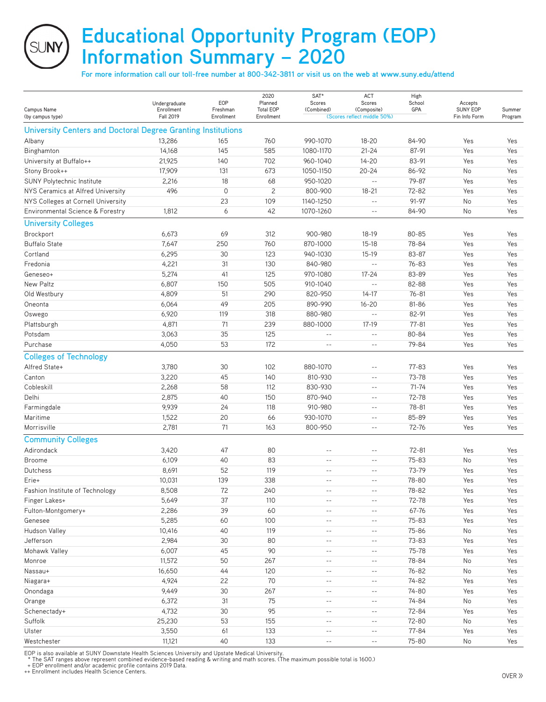## **Educational Opportunity Program (EOP) Information Summary – 2020**

**For more information call our toll-free number at 800-342-3811 or visit us on the web at www.suny.edu/attend**

| Campus Name<br>(by campus type)                              | Undergraduate<br>Enrollment<br><b>Fall 2019</b> | EOP<br>Freshman<br>Enrollment | 2020<br>Planned<br><b>Total EOP</b><br>Enrollment | SAT*<br>Scores<br>(Combined) | ACT<br>Scores<br>(Composite)<br>(Scores reflect middle 50%) | High<br>School<br>GPA | Accepts<br><b>SUNY EOP</b><br>Fin Info Form | Summer<br>Program |
|--------------------------------------------------------------|-------------------------------------------------|-------------------------------|---------------------------------------------------|------------------------------|-------------------------------------------------------------|-----------------------|---------------------------------------------|-------------------|
| University Centers and Doctoral Degree Granting Institutions |                                                 |                               |                                                   |                              |                                                             |                       |                                             |                   |
| Albany                                                       | 13,286                                          | 165                           | 760                                               | 990-1070                     | $18 - 20$                                                   | 84-90                 | Yes                                         | Yes               |
| Binghamton                                                   | 14,168                                          | 145                           | 585                                               | 1080-1170                    | $21 - 24$                                                   | 87-91                 | Yes                                         | Yes               |
| University at Buffalo++                                      | 21,925                                          | 140                           | 702                                               | 960-1040                     | $14 - 20$                                                   | 83-91                 | Yes                                         | Yes               |
| Stony Brook++                                                | 17,909                                          | 131                           | 673                                               | 1050-1150                    | $20 - 24$                                                   | 86-92                 | No                                          | Yes               |
| SUNY Polytechnic Institute                                   | 2,216                                           | 18                            | 68                                                | 950-1020                     | $\sim$ $\sim$                                               | 79-87                 | Yes                                         | Yes               |
| NYS Ceramics at Alfred University                            | 496                                             | $\mathbf 0$                   | $\overline{c}$                                    | 800-900                      | $18 - 21$                                                   | 72-82                 | Yes                                         | Yes               |
| NYS Colleges at Cornell University                           |                                                 | 23                            | 109                                               | 1140-1250                    | $\overline{\phantom{a}}$                                    | 91-97                 | No                                          | Yes               |
| Environmental Science & Forestry                             | 1,812                                           | 6                             | 42                                                | 1070-1260                    | $-$                                                         | 84-90                 | No                                          | Yes               |
| <b>University Colleges</b>                                   |                                                 |                               |                                                   |                              |                                                             |                       |                                             |                   |
| Brockport                                                    | 6,673                                           | 69                            | 312                                               | 900-980                      | 18-19                                                       | 80-85                 | Yes                                         | Yes               |
| <b>Buffalo State</b>                                         | 7,647                                           | 250                           | 760                                               | 870-1000                     | $15 - 18$                                                   | 78-84                 | Yes                                         | Yes               |
| Cortland                                                     | 6,295                                           | 30                            | 123                                               | 940-1030                     | $15-19$                                                     | 83-87                 | Yes                                         | Yes               |
| Fredonia                                                     | 4,221                                           | 31                            | 130                                               | 840-980                      | $\sim$ $\sim$                                               | $76 - 83$             | Yes                                         | Yes               |
| Geneseo+                                                     | 5,274                                           | 41                            | 125                                               | 970-1080                     | $17 - 24$                                                   | 83-89                 | Yes                                         | Yes               |
| New Paltz                                                    | 6,807                                           | 150                           | 505                                               | 910-1040                     | $\sim$ $-$                                                  | 82-88                 | Yes                                         | Yes               |
| Old Westbury                                                 | 4,809                                           | 51                            | 290                                               | 820-950                      | $14 - 17$                                                   | $76 - 81$             | Yes                                         | Yes               |
| Oneonta                                                      | 6,064                                           | 49                            | 205                                               | 890-990                      | $16 - 20$                                                   | 81-86                 | Yes                                         | Yes               |
| Oswego                                                       | 6,920                                           | 119                           | 318                                               | 880-980                      | $\sim$ $\sim$                                               | 82-91                 | Yes                                         | Yes               |
| Plattsburgh                                                  | 4,871                                           | 71                            | 239                                               | 880-1000                     | $17-19$                                                     | $77 - 81$             | Yes                                         | Yes               |
| Potsdam                                                      | 3,063                                           | 35                            | 125                                               | $\sim$ $-$                   | $\sim$ $-$                                                  | 80-84                 | Yes                                         | Yes               |
| Purchase                                                     | 4,050                                           | 53                            | 172                                               | $ -$                         | $\qquad \qquad -$                                           | 79-84                 | Yes                                         | Yes               |
| <b>Colleges of Technology</b>                                |                                                 |                               |                                                   |                              |                                                             |                       |                                             |                   |
| Alfred State+                                                | 3,780                                           | 30                            | 102                                               | 880-1070                     | $-$                                                         | 77-83                 | Yes                                         | Yes               |
| Canton                                                       | 3,220                                           | 45                            | 140                                               | 810-930                      | $- -$                                                       | 73-78                 | Yes                                         | Yes               |
| Cobleskill                                                   | 2,268                                           | 58                            | 112                                               | 830-930                      | $-$                                                         | $71 - 74$             | Yes                                         | Yes               |
| Delhi                                                        | 2,875                                           | 40                            | 150                                               | 870-940                      | $\qquad \qquad -$                                           | 72-78                 | Yes                                         | Yes               |
| Farmingdale                                                  | 9,939                                           | 24                            | 118                                               | 910-980                      | $-$                                                         | 78-81                 | Yes                                         | Yes               |
| Maritime                                                     | 1,522                                           | 20                            | 66                                                | 930-1070                     | $-$                                                         | 85-89                 | Yes                                         | Yes               |
| Morrisville                                                  | 2,781                                           | 71                            | 163                                               | 800-950                      | $\qquad \qquad -$                                           | 72-76                 | Yes                                         | Yes               |
| <b>Community Colleges</b>                                    |                                                 |                               |                                                   |                              |                                                             |                       |                                             |                   |
| Adirondack                                                   | 3,420                                           | 47                            | 80                                                | $- -$                        | $-$                                                         | $72 - 81$             | Yes                                         | Yes               |
| <b>Broome</b>                                                | 6,109                                           | 40                            | 83                                                | $-$                          | $- -$                                                       | $75 - 83$             | No                                          | Yes               |
| <b>Dutchess</b>                                              | 8,691                                           | 52                            | 119                                               | $\sim$ $-$                   | $- -$                                                       | 73-79                 | Yes                                         | Yes               |
| Erie+                                                        | 10,031                                          | 139                           | 338                                               | $ -$                         | $ -$                                                        | 78-80                 | Yes                                         | Yes               |
| Fashion Institute of Technology                              | 8,508                                           | 72                            | 240                                               | $\sim$ $-$                   | $- \, -$                                                    | 78-82                 | Yes                                         | Yes               |
| Finger Lakes+                                                | 5,649                                           | 37                            | 110                                               | $\sim$ $-$                   | $\qquad \qquad -$                                           | 72-78                 | Yes                                         | Yes               |
| Fulton-Montgomery+                                           | 2,286                                           | 39                            | 60                                                | $ -$                         | $ -$                                                        | 67-76                 | Yes                                         | Yes               |
| Genesee                                                      | 5,285                                           | 60                            | 100                                               | $ -$                         | $ -$                                                        | $75 - 83$             | Yes                                         | Yes               |
| Hudson Valley                                                | 10,416                                          | 40                            | 119                                               | $ -$                         | $- -$                                                       | 75-86                 | No                                          | Yes               |
| Jefferson                                                    | 2,984                                           | 30                            | 80                                                | $\sim$ $-$                   | $- -$                                                       | 73-83                 | Yes                                         | Yes               |
| Mohawk Valley                                                | 6,007                                           | 45                            | 90                                                | $ -$                         | $ -$                                                        | 75-78                 | Yes                                         | Yes               |
| Monroe                                                       | 11,572                                          | 50                            | 267                                               | $\sim$ $-$                   | $- \, -$                                                    | 78-84                 | No                                          | Yes               |
| Nassau+                                                      | 16,650                                          | 44                            | 120                                               | $ -$                         | $- \, -$                                                    | 76-82                 | No                                          | Yes               |
| Niagara+                                                     | 4,924                                           | 22                            | 70                                                | $ -$                         | $ -$                                                        | 74-82                 | Yes                                         | Yes               |
| Onondaga                                                     | 9,449                                           | 30                            | 267                                               | $ -$                         | $\qquad \qquad -$                                           | 74-80                 | Yes                                         | Yes               |
| Orange                                                       | 6,372                                           | 31                            | 75                                                | $ -$                         | $ -$                                                        | 74-84                 | No                                          | Yes               |
| Schenectady+                                                 | 4,732                                           | 30                            | 95                                                | $\sim$ $-$                   | $-$                                                         | 72-84                 | Yes                                         | Yes               |
| Suffolk                                                      | 25,230                                          | 53                            | 155                                               | $\sim$ $-$                   | $ -$                                                        | 72-80                 | No                                          | Yes               |
| Ulster                                                       | 3,550                                           | 61                            | 133                                               | $ -$                         | $- \, -$                                                    | 77-84                 | Yes                                         | Yes               |
| Westchester                                                  | 11,121                                          | 40                            | 133                                               | $ -$                         | $\overline{\phantom{a}}$                                    | 75-80                 | No                                          | Yes               |

EOP is also available at SUNY Downstate Health Sciences University and Upstate Medical University.<br>\* The SAT ranges above represent combined evidence-based reading & writing and math scores. (The maximum possible total is